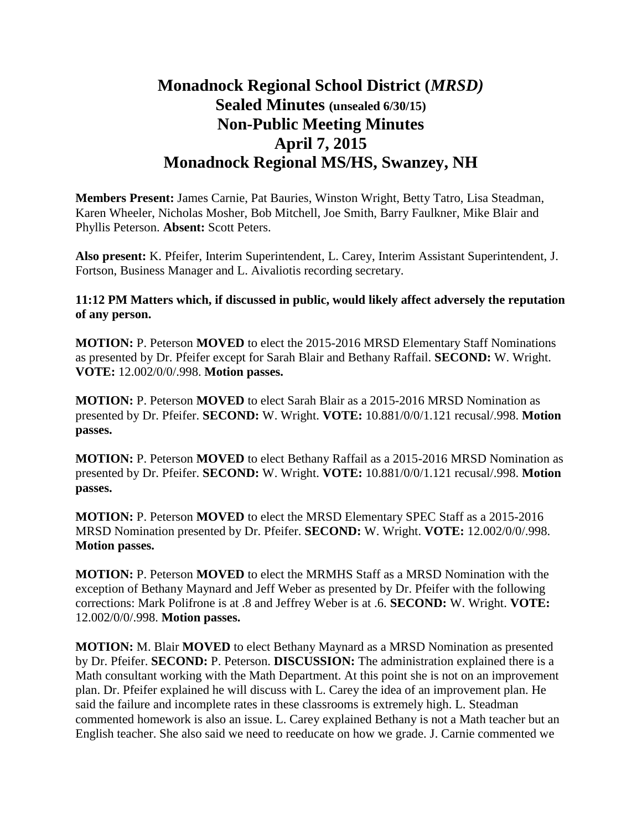## **Monadnock Regional School District (***MRSD)* **Sealed Minutes (unsealed 6/30/15) Non-Public Meeting Minutes April 7, 2015 Monadnock Regional MS/HS, Swanzey, NH**

**Members Present:** James Carnie, Pat Bauries, Winston Wright, Betty Tatro, Lisa Steadman, Karen Wheeler, Nicholas Mosher, Bob Mitchell, Joe Smith, Barry Faulkner, Mike Blair and Phyllis Peterson. **Absent:** Scott Peters.

**Also present:** K. Pfeifer, Interim Superintendent, L. Carey, Interim Assistant Superintendent, J. Fortson, Business Manager and L. Aivaliotis recording secretary.

## **11:12 PM Matters which, if discussed in public, would likely affect adversely the reputation of any person.**

**MOTION:** P. Peterson **MOVED** to elect the 2015-2016 MRSD Elementary Staff Nominations as presented by Dr. Pfeifer except for Sarah Blair and Bethany Raffail. **SECOND:** W. Wright. **VOTE:** 12.002/0/0/.998. **Motion passes.** 

**MOTION:** P. Peterson **MOVED** to elect Sarah Blair as a 2015-2016 MRSD Nomination as presented by Dr. Pfeifer. **SECOND:** W. Wright. **VOTE:** 10.881/0/0/1.121 recusal/.998. **Motion passes.** 

**MOTION:** P. Peterson **MOVED** to elect Bethany Raffail as a 2015-2016 MRSD Nomination as presented by Dr. Pfeifer. **SECOND:** W. Wright. **VOTE:** 10.881/0/0/1.121 recusal/.998. **Motion passes.** 

**MOTION:** P. Peterson **MOVED** to elect the MRSD Elementary SPEC Staff as a 2015-2016 MRSD Nomination presented by Dr. Pfeifer. **SECOND:** W. Wright. **VOTE:** 12.002/0/0/.998. **Motion passes.** 

**MOTION:** P. Peterson **MOVED** to elect the MRMHS Staff as a MRSD Nomination with the exception of Bethany Maynard and Jeff Weber as presented by Dr. Pfeifer with the following corrections: Mark Polifrone is at .8 and Jeffrey Weber is at .6. **SECOND:** W. Wright. **VOTE:** 12.002/0/0/.998. **Motion passes.** 

**MOTION:** M. Blair **MOVED** to elect Bethany Maynard as a MRSD Nomination as presented by Dr. Pfeifer. **SECOND:** P. Peterson. **DISCUSSION:** The administration explained there is a Math consultant working with the Math Department. At this point she is not on an improvement plan. Dr. Pfeifer explained he will discuss with L. Carey the idea of an improvement plan. He said the failure and incomplete rates in these classrooms is extremely high. L. Steadman commented homework is also an issue. L. Carey explained Bethany is not a Math teacher but an English teacher. She also said we need to reeducate on how we grade. J. Carnie commented we